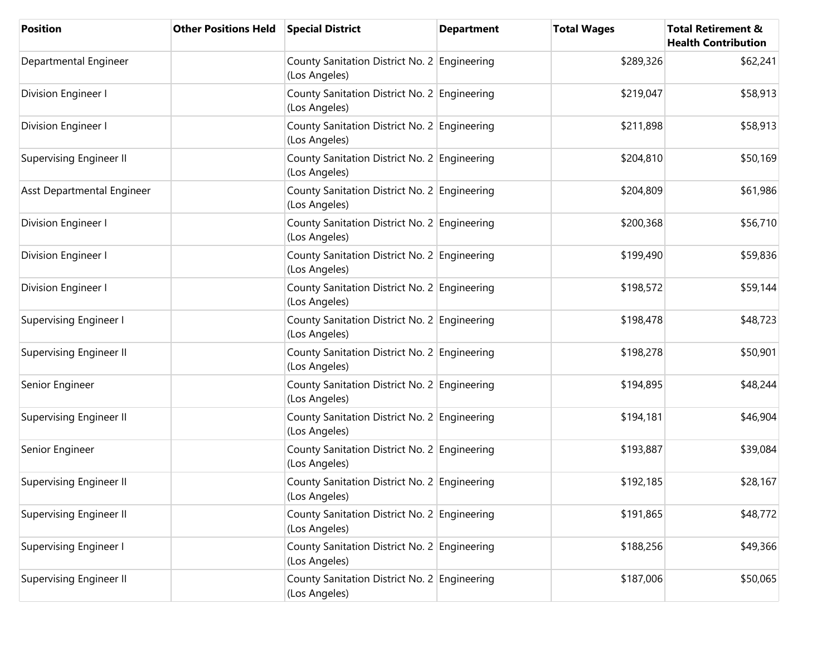| <b>Position</b>                | <b>Other Positions Held</b> | <b>Special District</b>                                       | <b>Department</b> | <b>Total Wages</b> | <b>Total Retirement &amp;</b><br><b>Health Contribution</b> |
|--------------------------------|-----------------------------|---------------------------------------------------------------|-------------------|--------------------|-------------------------------------------------------------|
| Departmental Engineer          |                             | County Sanitation District No. 2 Engineering<br>(Los Angeles) |                   | \$289,326          | \$62,241                                                    |
| Division Engineer I            |                             | County Sanitation District No. 2 Engineering<br>(Los Angeles) |                   | \$219,047          | \$58,913                                                    |
| Division Engineer I            |                             | County Sanitation District No. 2 Engineering<br>(Los Angeles) |                   | \$211,898          | \$58,913                                                    |
| <b>Supervising Engineer II</b> |                             | County Sanitation District No. 2 Engineering<br>(Los Angeles) |                   | \$204,810          | \$50,169                                                    |
| Asst Departmental Engineer     |                             | County Sanitation District No. 2 Engineering<br>(Los Angeles) |                   | \$204,809          | \$61,986                                                    |
| Division Engineer I            |                             | County Sanitation District No. 2 Engineering<br>(Los Angeles) |                   | \$200,368          | \$56,710                                                    |
| Division Engineer I            |                             | County Sanitation District No. 2 Engineering<br>(Los Angeles) |                   | \$199,490          | \$59,836                                                    |
| Division Engineer I            |                             | County Sanitation District No. 2 Engineering<br>(Los Angeles) |                   | \$198,572          | \$59,144                                                    |
| <b>Supervising Engineer I</b>  |                             | County Sanitation District No. 2 Engineering<br>(Los Angeles) |                   | \$198,478          | \$48,723                                                    |
| <b>Supervising Engineer II</b> |                             | County Sanitation District No. 2 Engineering<br>(Los Angeles) |                   | \$198,278          | \$50,901                                                    |
| Senior Engineer                |                             | County Sanitation District No. 2 Engineering<br>(Los Angeles) |                   | \$194,895          | \$48,244                                                    |
| <b>Supervising Engineer II</b> |                             | County Sanitation District No. 2 Engineering<br>(Los Angeles) |                   | \$194,181          | \$46,904                                                    |
| Senior Engineer                |                             | County Sanitation District No. 2 Engineering<br>(Los Angeles) |                   | \$193,887          | \$39,084                                                    |
| <b>Supervising Engineer II</b> |                             | County Sanitation District No. 2 Engineering<br>(Los Angeles) |                   | \$192,185          | \$28,167                                                    |
| <b>Supervising Engineer II</b> |                             | County Sanitation District No. 2 Engineering<br>(Los Angeles) |                   | \$191,865          | \$48,772                                                    |
| <b>Supervising Engineer I</b>  |                             | County Sanitation District No. 2 Engineering<br>(Los Angeles) |                   | \$188,256          | \$49,366                                                    |
| <b>Supervising Engineer II</b> |                             | County Sanitation District No. 2 Engineering<br>(Los Angeles) |                   | \$187,006          | \$50,065                                                    |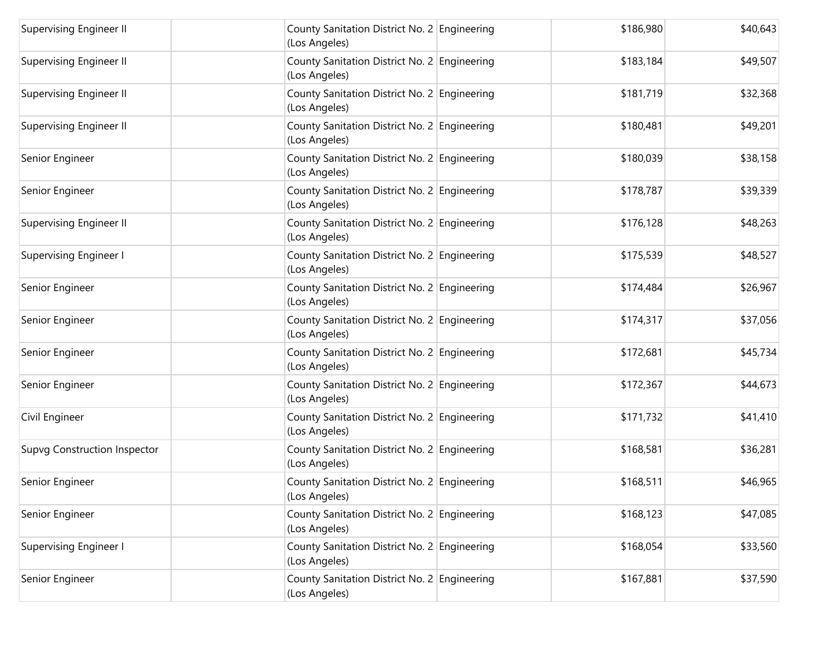| Supervising Engineer II             | County Sanitation District No. 2 Engineering<br>(Los Angeles) | \$186,980 | \$40,643 |
|-------------------------------------|---------------------------------------------------------------|-----------|----------|
| <b>Supervising Engineer II</b>      | County Sanitation District No. 2 Engineering<br>(Los Angeles) | \$183,184 | \$49,507 |
| Supervising Engineer II             | County Sanitation District No. 2 Engineering<br>(Los Angeles) | \$181,719 | \$32,368 |
| <b>Supervising Engineer II</b>      | County Sanitation District No. 2 Engineering<br>(Los Angeles) | \$180,481 | \$49,201 |
| Senior Engineer                     | County Sanitation District No. 2 Engineering<br>(Los Angeles) | \$180,039 | \$38,158 |
| Senior Engineer                     | County Sanitation District No. 2 Engineering<br>(Los Angeles) | \$178,787 | \$39,339 |
| <b>Supervising Engineer II</b>      | County Sanitation District No. 2 Engineering<br>(Los Angeles) | \$176,128 | \$48,263 |
| <b>Supervising Engineer I</b>       | County Sanitation District No. 2 Engineering<br>(Los Angeles) | \$175,539 | \$48,527 |
| Senior Engineer                     | County Sanitation District No. 2 Engineering<br>(Los Angeles) | \$174,484 | \$26,967 |
| Senior Engineer                     | County Sanitation District No. 2 Engineering<br>(Los Angeles) | \$174,317 | \$37,056 |
| Senior Engineer                     | County Sanitation District No. 2 Engineering<br>(Los Angeles) | \$172,681 | \$45,734 |
| Senior Engineer                     | County Sanitation District No. 2 Engineering<br>(Los Angeles) | \$172,367 | \$44,673 |
| Civil Engineer                      | County Sanitation District No. 2 Engineering<br>(Los Angeles) | \$171,732 | \$41,410 |
| <b>Supvg Construction Inspector</b> | County Sanitation District No. 2 Engineering<br>(Los Angeles) | \$168,581 | \$36,281 |
| Senior Engineer                     | County Sanitation District No. 2 Engineering<br>(Los Angeles) | \$168,511 | \$46,965 |
| Senior Engineer                     | County Sanitation District No. 2 Engineering<br>(Los Angeles) | \$168,123 | \$47,085 |
| <b>Supervising Engineer I</b>       | County Sanitation District No. 2 Engineering<br>(Los Angeles) | \$168,054 | \$33,560 |
| Senior Engineer                     | County Sanitation District No. 2 Engineering<br>(Los Angeles) | \$167,881 | \$37,590 |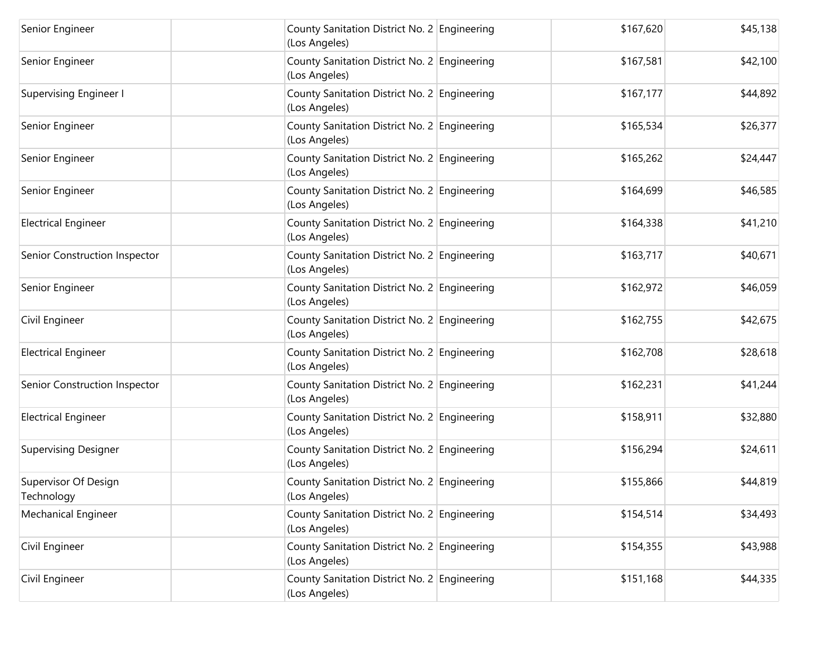| Senior Engineer                    | County Sanitation District No. 2 Engineering<br>(Los Angeles) | \$167,620 | \$45,138 |
|------------------------------------|---------------------------------------------------------------|-----------|----------|
| Senior Engineer                    | County Sanitation District No. 2 Engineering<br>(Los Angeles) | \$167,581 | \$42,100 |
| <b>Supervising Engineer I</b>      | County Sanitation District No. 2 Engineering<br>(Los Angeles) | \$167,177 | \$44,892 |
| Senior Engineer                    | County Sanitation District No. 2 Engineering<br>(Los Angeles) | \$165,534 | \$26,377 |
| Senior Engineer                    | County Sanitation District No. 2 Engineering<br>(Los Angeles) | \$165,262 | \$24,447 |
| Senior Engineer                    | County Sanitation District No. 2 Engineering<br>(Los Angeles) | \$164,699 | \$46,585 |
| <b>Electrical Engineer</b>         | County Sanitation District No. 2 Engineering<br>(Los Angeles) | \$164,338 | \$41,210 |
| Senior Construction Inspector      | County Sanitation District No. 2 Engineering<br>(Los Angeles) | \$163,717 | \$40,671 |
| Senior Engineer                    | County Sanitation District No. 2 Engineering<br>(Los Angeles) | \$162,972 | \$46,059 |
| Civil Engineer                     | County Sanitation District No. 2 Engineering<br>(Los Angeles) | \$162,755 | \$42,675 |
| <b>Electrical Engineer</b>         | County Sanitation District No. 2 Engineering<br>(Los Angeles) | \$162,708 | \$28,618 |
| Senior Construction Inspector      | County Sanitation District No. 2 Engineering<br>(Los Angeles) | \$162,231 | \$41,244 |
| <b>Electrical Engineer</b>         | County Sanitation District No. 2 Engineering<br>(Los Angeles) | \$158,911 | \$32,880 |
| <b>Supervising Designer</b>        | County Sanitation District No. 2 Engineering<br>(Los Angeles) | \$156,294 | \$24,611 |
| Supervisor Of Design<br>Technology | County Sanitation District No. 2 Engineering<br>(Los Angeles) | \$155,866 | \$44,819 |
| <b>Mechanical Engineer</b>         | County Sanitation District No. 2 Engineering<br>(Los Angeles) | \$154,514 | \$34,493 |
| Civil Engineer                     | County Sanitation District No. 2 Engineering<br>(Los Angeles) | \$154,355 | \$43,988 |
| Civil Engineer                     | County Sanitation District No. 2 Engineering<br>(Los Angeles) | \$151,168 | \$44,335 |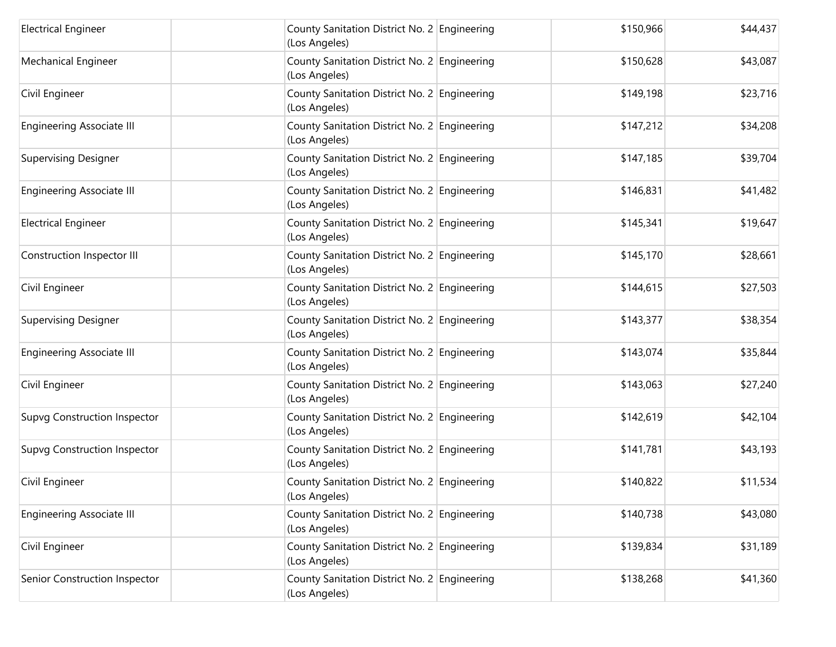| <b>Electrical Engineer</b>          | County Sanitation District No. 2 Engineering<br>(Los Angeles) | \$150,966 | \$44,437 |
|-------------------------------------|---------------------------------------------------------------|-----------|----------|
| Mechanical Engineer                 | County Sanitation District No. 2 Engineering<br>(Los Angeles) | \$150,628 | \$43,087 |
| Civil Engineer                      | County Sanitation District No. 2 Engineering<br>(Los Angeles) | \$149,198 | \$23,716 |
| <b>Engineering Associate III</b>    | County Sanitation District No. 2 Engineering<br>(Los Angeles) | \$147,212 | \$34,208 |
| <b>Supervising Designer</b>         | County Sanitation District No. 2 Engineering<br>(Los Angeles) | \$147,185 | \$39,704 |
| <b>Engineering Associate III</b>    | County Sanitation District No. 2 Engineering<br>(Los Angeles) | \$146,831 | \$41,482 |
| <b>Electrical Engineer</b>          | County Sanitation District No. 2 Engineering<br>(Los Angeles) | \$145,341 | \$19,647 |
| Construction Inspector III          | County Sanitation District No. 2 Engineering<br>(Los Angeles) | \$145,170 | \$28,661 |
| Civil Engineer                      | County Sanitation District No. 2 Engineering<br>(Los Angeles) | \$144,615 | \$27,503 |
| <b>Supervising Designer</b>         | County Sanitation District No. 2 Engineering<br>(Los Angeles) | \$143,377 | \$38,354 |
| <b>Engineering Associate III</b>    | County Sanitation District No. 2 Engineering<br>(Los Angeles) | \$143,074 | \$35,844 |
| Civil Engineer                      | County Sanitation District No. 2 Engineering<br>(Los Angeles) | \$143,063 | \$27,240 |
| <b>Supvg Construction Inspector</b> | County Sanitation District No. 2 Engineering<br>(Los Angeles) | \$142,619 | \$42,104 |
| <b>Supvg Construction Inspector</b> | County Sanitation District No. 2 Engineering<br>(Los Angeles) | \$141,781 | \$43,193 |
| Civil Engineer                      | County Sanitation District No. 2 Engineering<br>(Los Angeles) | \$140,822 | \$11,534 |
| <b>Engineering Associate III</b>    | County Sanitation District No. 2 Engineering<br>(Los Angeles) | \$140,738 | \$43,080 |
| Civil Engineer                      | County Sanitation District No. 2 Engineering<br>(Los Angeles) | \$139,834 | \$31,189 |
| Senior Construction Inspector       | County Sanitation District No. 2 Engineering<br>(Los Angeles) | \$138,268 | \$41,360 |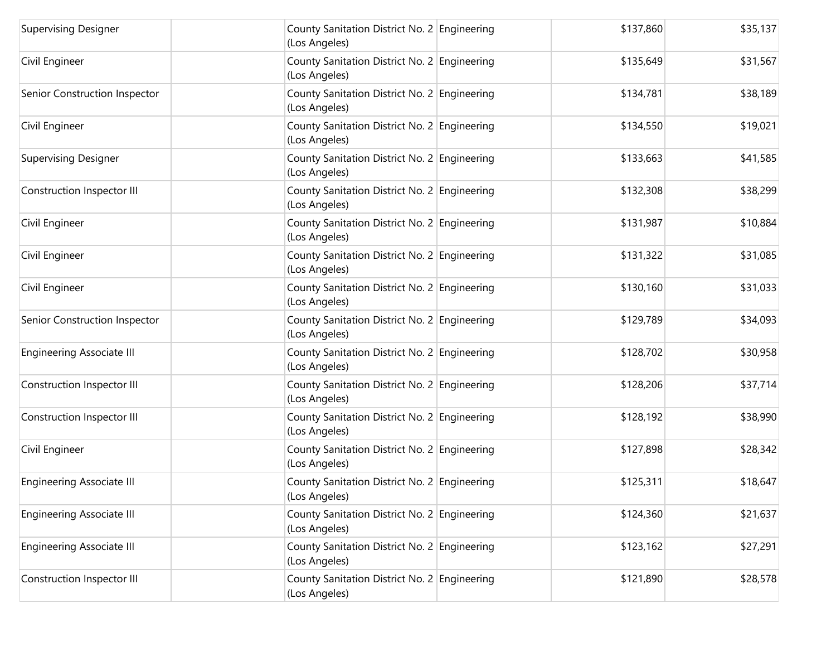| <b>Supervising Designer</b>      | County Sanitation District No. 2 Engineering<br>(Los Angeles) | \$137,860 | \$35,137 |
|----------------------------------|---------------------------------------------------------------|-----------|----------|
| Civil Engineer                   | County Sanitation District No. 2 Engineering<br>(Los Angeles) | \$135,649 | \$31,567 |
| Senior Construction Inspector    | County Sanitation District No. 2 Engineering<br>(Los Angeles) | \$134,781 | \$38,189 |
| Civil Engineer                   | County Sanitation District No. 2 Engineering<br>(Los Angeles) | \$134,550 | \$19,021 |
| <b>Supervising Designer</b>      | County Sanitation District No. 2 Engineering<br>(Los Angeles) | \$133,663 | \$41,585 |
| Construction Inspector III       | County Sanitation District No. 2 Engineering<br>(Los Angeles) | \$132,308 | \$38,299 |
| Civil Engineer                   | County Sanitation District No. 2 Engineering<br>(Los Angeles) | \$131,987 | \$10,884 |
| Civil Engineer                   | County Sanitation District No. 2 Engineering<br>(Los Angeles) | \$131,322 | \$31,085 |
| Civil Engineer                   | County Sanitation District No. 2 Engineering<br>(Los Angeles) | \$130,160 | \$31,033 |
| Senior Construction Inspector    | County Sanitation District No. 2 Engineering<br>(Los Angeles) | \$129,789 | \$34,093 |
| <b>Engineering Associate III</b> | County Sanitation District No. 2 Engineering<br>(Los Angeles) | \$128,702 | \$30,958 |
| Construction Inspector III       | County Sanitation District No. 2 Engineering<br>(Los Angeles) | \$128,206 | \$37,714 |
| Construction Inspector III       | County Sanitation District No. 2 Engineering<br>(Los Angeles) | \$128,192 | \$38,990 |
| Civil Engineer                   | County Sanitation District No. 2 Engineering<br>(Los Angeles) | \$127,898 | \$28,342 |
| <b>Engineering Associate III</b> | County Sanitation District No. 2 Engineering<br>(Los Angeles) | \$125,311 | \$18,647 |
| <b>Engineering Associate III</b> | County Sanitation District No. 2 Engineering<br>(Los Angeles) | \$124,360 | \$21,637 |
| <b>Engineering Associate III</b> | County Sanitation District No. 2 Engineering<br>(Los Angeles) | \$123,162 | \$27,291 |
| Construction Inspector III       | County Sanitation District No. 2 Engineering<br>(Los Angeles) | \$121,890 | \$28,578 |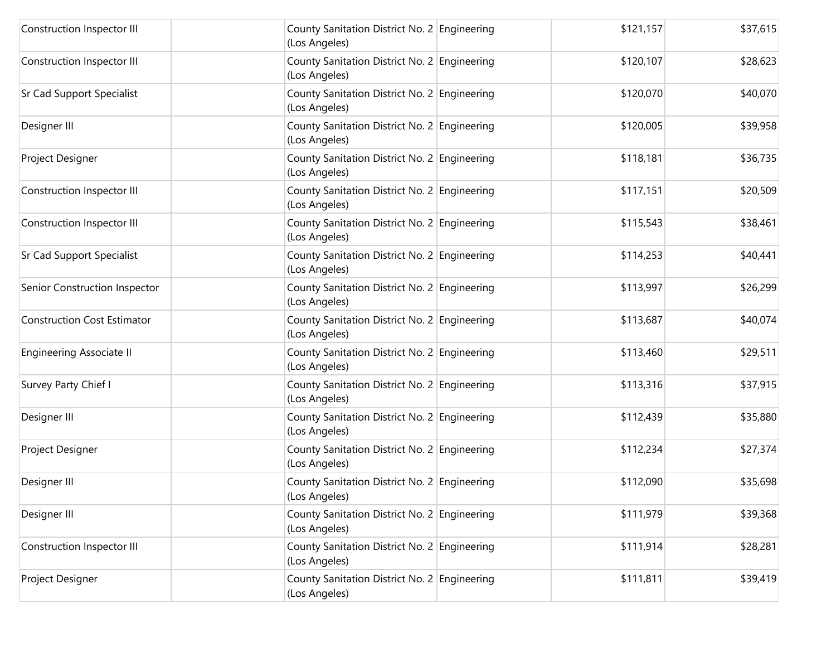| Construction Inspector III         | County Sanitation District No. 2 Engineering<br>(Los Angeles) | \$121,157 | \$37,615 |
|------------------------------------|---------------------------------------------------------------|-----------|----------|
| Construction Inspector III         | County Sanitation District No. 2 Engineering<br>(Los Angeles) | \$120,107 | \$28,623 |
| Sr Cad Support Specialist          | County Sanitation District No. 2 Engineering<br>(Los Angeles) | \$120,070 | \$40,070 |
| Designer III                       | County Sanitation District No. 2 Engineering<br>(Los Angeles) | \$120,005 | \$39,958 |
| Project Designer                   | County Sanitation District No. 2 Engineering<br>(Los Angeles) | \$118,181 | \$36,735 |
| Construction Inspector III         | County Sanitation District No. 2 Engineering<br>(Los Angeles) | \$117,151 | \$20,509 |
| Construction Inspector III         | County Sanitation District No. 2 Engineering<br>(Los Angeles) | \$115,543 | \$38,461 |
| Sr Cad Support Specialist          | County Sanitation District No. 2 Engineering<br>(Los Angeles) | \$114,253 | \$40,441 |
| Senior Construction Inspector      | County Sanitation District No. 2 Engineering<br>(Los Angeles) | \$113,997 | \$26,299 |
| <b>Construction Cost Estimator</b> | County Sanitation District No. 2 Engineering<br>(Los Angeles) | \$113,687 | \$40,074 |
| <b>Engineering Associate II</b>    | County Sanitation District No. 2 Engineering<br>(Los Angeles) | \$113,460 | \$29,511 |
| Survey Party Chief I               | County Sanitation District No. 2 Engineering<br>(Los Angeles) | \$113,316 | \$37,915 |
| Designer III                       | County Sanitation District No. 2 Engineering<br>(Los Angeles) | \$112,439 | \$35,880 |
| Project Designer                   | County Sanitation District No. 2 Engineering<br>(Los Angeles) | \$112,234 | \$27,374 |
| Designer III                       | County Sanitation District No. 2 Engineering<br>(Los Angeles) | \$112,090 | \$35,698 |
| Designer III                       | County Sanitation District No. 2 Engineering<br>(Los Angeles) | \$111,979 | \$39,368 |
| Construction Inspector III         | County Sanitation District No. 2 Engineering<br>(Los Angeles) | \$111,914 | \$28,281 |
| Project Designer                   | County Sanitation District No. 2 Engineering<br>(Los Angeles) | \$111,811 | \$39,419 |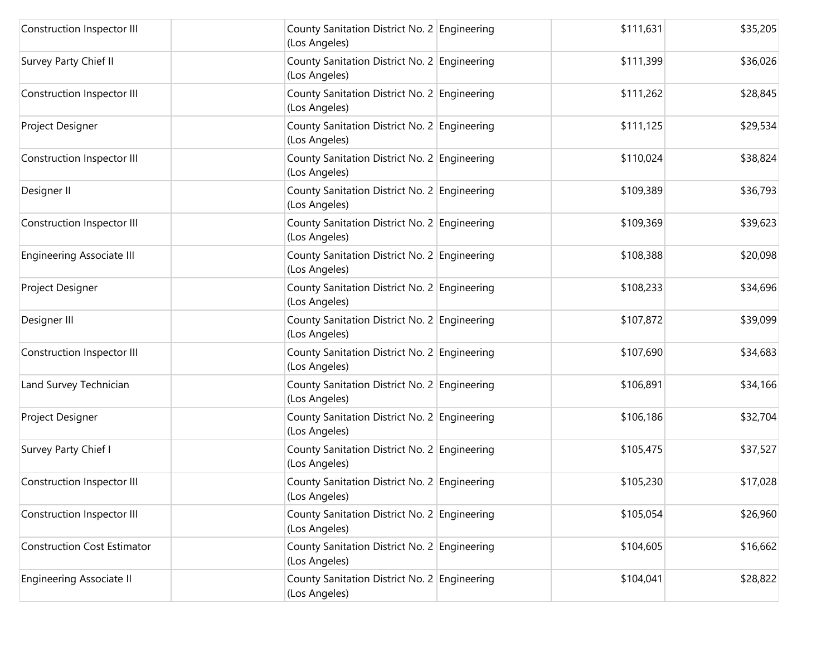| Construction Inspector III         | County Sanitation District No. 2 Engineering<br>(Los Angeles) | \$111,631 | \$35,205 |
|------------------------------------|---------------------------------------------------------------|-----------|----------|
| Survey Party Chief II              | County Sanitation District No. 2 Engineering<br>(Los Angeles) | \$111,399 | \$36,026 |
| Construction Inspector III         | County Sanitation District No. 2 Engineering<br>(Los Angeles) | \$111,262 | \$28,845 |
| Project Designer                   | County Sanitation District No. 2 Engineering<br>(Los Angeles) | \$111,125 | \$29,534 |
| Construction Inspector III         | County Sanitation District No. 2 Engineering<br>(Los Angeles) | \$110,024 | \$38,824 |
| Designer II                        | County Sanitation District No. 2 Engineering<br>(Los Angeles) | \$109,389 | \$36,793 |
| Construction Inspector III         | County Sanitation District No. 2 Engineering<br>(Los Angeles) | \$109,369 | \$39,623 |
| <b>Engineering Associate III</b>   | County Sanitation District No. 2 Engineering<br>(Los Angeles) | \$108,388 | \$20,098 |
| Project Designer                   | County Sanitation District No. 2 Engineering<br>(Los Angeles) | \$108,233 | \$34,696 |
| Designer III                       | County Sanitation District No. 2 Engineering<br>(Los Angeles) | \$107,872 | \$39,099 |
| Construction Inspector III         | County Sanitation District No. 2 Engineering<br>(Los Angeles) | \$107,690 | \$34,683 |
| Land Survey Technician             | County Sanitation District No. 2 Engineering<br>(Los Angeles) | \$106,891 | \$34,166 |
| Project Designer                   | County Sanitation District No. 2 Engineering<br>(Los Angeles) | \$106,186 | \$32,704 |
| Survey Party Chief I               | County Sanitation District No. 2 Engineering<br>(Los Angeles) | \$105,475 | \$37,527 |
| Construction Inspector III         | County Sanitation District No. 2 Engineering<br>(Los Angeles) | \$105,230 | \$17,028 |
| Construction Inspector III         | County Sanitation District No. 2 Engineering<br>(Los Angeles) | \$105,054 | \$26,960 |
| <b>Construction Cost Estimator</b> | County Sanitation District No. 2 Engineering<br>(Los Angeles) | \$104,605 | \$16,662 |
| <b>Engineering Associate II</b>    | County Sanitation District No. 2 Engineering<br>(Los Angeles) | \$104,041 | \$28,822 |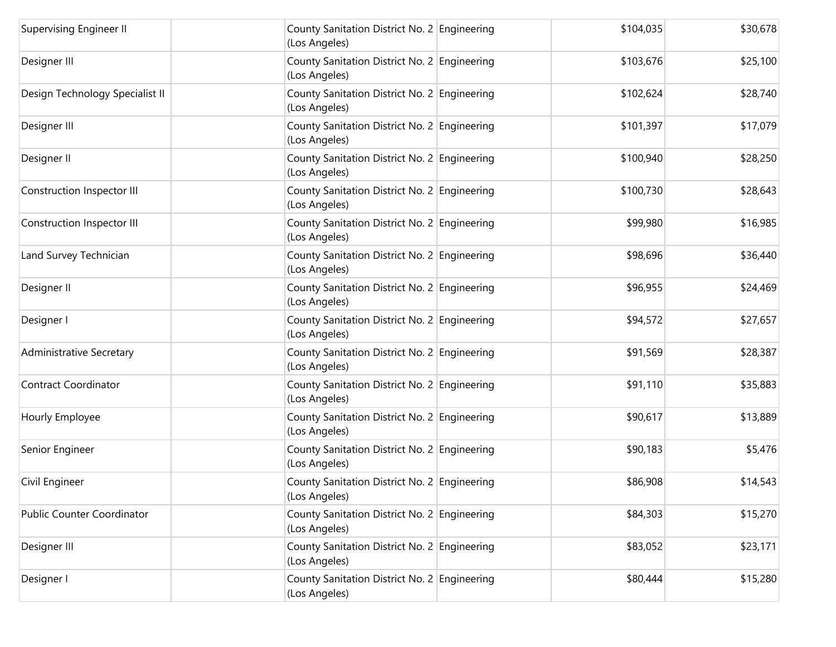| Supervising Engineer II         | County Sanitation District No. 2 Engineering<br>(Los Angeles) | \$104,035 | \$30,678 |
|---------------------------------|---------------------------------------------------------------|-----------|----------|
| Designer III                    | County Sanitation District No. 2 Engineering<br>(Los Angeles) | \$103,676 | \$25,100 |
| Design Technology Specialist II | County Sanitation District No. 2 Engineering<br>(Los Angeles) | \$102,624 | \$28,740 |
| Designer III                    | County Sanitation District No. 2 Engineering<br>(Los Angeles) | \$101,397 | \$17,079 |
| Designer II                     | County Sanitation District No. 2 Engineering<br>(Los Angeles) | \$100,940 | \$28,250 |
| Construction Inspector III      | County Sanitation District No. 2 Engineering<br>(Los Angeles) | \$100,730 | \$28,643 |
| Construction Inspector III      | County Sanitation District No. 2 Engineering<br>(Los Angeles) | \$99,980  | \$16,985 |
| Land Survey Technician          | County Sanitation District No. 2 Engineering<br>(Los Angeles) | \$98,696  | \$36,440 |
| Designer II                     | County Sanitation District No. 2 Engineering<br>(Los Angeles) | \$96,955  | \$24,469 |
| Designer I                      | County Sanitation District No. 2 Engineering<br>(Los Angeles) | \$94,572  | \$27,657 |
| <b>Administrative Secretary</b> | County Sanitation District No. 2 Engineering<br>(Los Angeles) | \$91,569  | \$28,387 |
| <b>Contract Coordinator</b>     | County Sanitation District No. 2 Engineering<br>(Los Angeles) | \$91,110  | \$35,883 |
| Hourly Employee                 | County Sanitation District No. 2 Engineering<br>(Los Angeles) | \$90,617  | \$13,889 |
| Senior Engineer                 | County Sanitation District No. 2 Engineering<br>(Los Angeles) | \$90,183  | \$5,476  |
| Civil Engineer                  | County Sanitation District No. 2 Engineering<br>(Los Angeles) | \$86,908  | \$14,543 |
| Public Counter Coordinator      | County Sanitation District No. 2 Engineering<br>(Los Angeles) | \$84,303  | \$15,270 |
| Designer III                    | County Sanitation District No. 2 Engineering<br>(Los Angeles) | \$83,052  | \$23,171 |
| Designer I                      | County Sanitation District No. 2 Engineering<br>(Los Angeles) | \$80,444  | \$15,280 |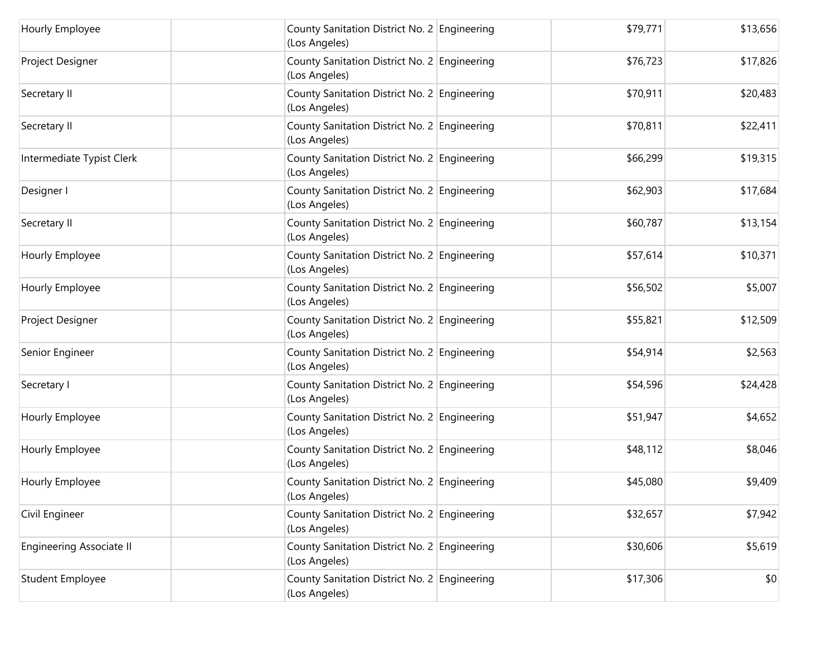| Hourly Employee                 | County Sanitation District No. 2 Engineering<br>(Los Angeles) | \$79,771 | \$13,656 |
|---------------------------------|---------------------------------------------------------------|----------|----------|
| Project Designer                | County Sanitation District No. 2 Engineering<br>(Los Angeles) | \$76,723 | \$17,826 |
| Secretary II                    | County Sanitation District No. 2 Engineering<br>(Los Angeles) | \$70,911 | \$20,483 |
| Secretary II                    | County Sanitation District No. 2 Engineering<br>(Los Angeles) | \$70,811 | \$22,411 |
| Intermediate Typist Clerk       | County Sanitation District No. 2 Engineering<br>(Los Angeles) | \$66,299 | \$19,315 |
| Designer I                      | County Sanitation District No. 2 Engineering<br>(Los Angeles) | \$62,903 | \$17,684 |
| Secretary II                    | County Sanitation District No. 2 Engineering<br>(Los Angeles) | \$60,787 | \$13,154 |
| Hourly Employee                 | County Sanitation District No. 2 Engineering<br>(Los Angeles) | \$57,614 | \$10,371 |
| Hourly Employee                 | County Sanitation District No. 2 Engineering<br>(Los Angeles) | \$56,502 | \$5,007  |
| Project Designer                | County Sanitation District No. 2 Engineering<br>(Los Angeles) | \$55,821 | \$12,509 |
| Senior Engineer                 | County Sanitation District No. 2 Engineering<br>(Los Angeles) | \$54,914 | \$2,563  |
| Secretary I                     | County Sanitation District No. 2 Engineering<br>(Los Angeles) | \$54,596 | \$24,428 |
| Hourly Employee                 | County Sanitation District No. 2 Engineering<br>(Los Angeles) | \$51,947 | \$4,652  |
| Hourly Employee                 | County Sanitation District No. 2 Engineering<br>(Los Angeles) | \$48,112 | \$8,046  |
| Hourly Employee                 | County Sanitation District No. 2 Engineering<br>(Los Angeles) | \$45,080 | \$9,409  |
| Civil Engineer                  | County Sanitation District No. 2 Engineering<br>(Los Angeles) | \$32,657 | \$7,942  |
| <b>Engineering Associate II</b> | County Sanitation District No. 2 Engineering<br>(Los Angeles) | \$30,606 | \$5,619  |
| Student Employee                | County Sanitation District No. 2 Engineering<br>(Los Angeles) | \$17,306 | \$0      |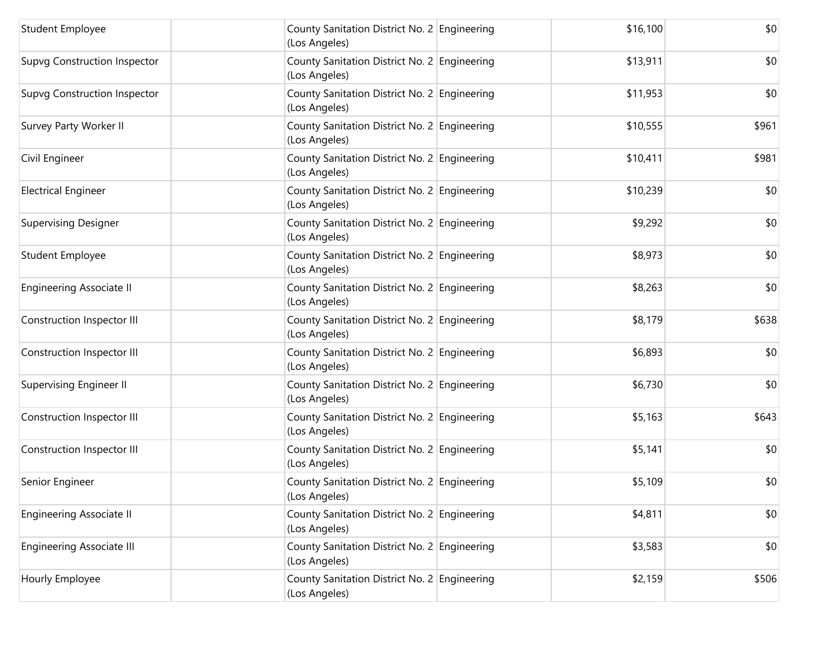| <b>Student Employee</b>             | County Sanitation District No. 2 Engineering<br>(Los Angeles) | \$16,100 | \$0   |
|-------------------------------------|---------------------------------------------------------------|----------|-------|
| <b>Supvg Construction Inspector</b> | County Sanitation District No. 2 Engineering<br>(Los Angeles) | \$13,911 | \$0   |
| <b>Supvg Construction Inspector</b> | County Sanitation District No. 2 Engineering<br>(Los Angeles) | \$11,953 | \$0   |
| Survey Party Worker II              | County Sanitation District No. 2 Engineering<br>(Los Angeles) | \$10,555 | \$961 |
| Civil Engineer                      | County Sanitation District No. 2 Engineering<br>(Los Angeles) | \$10,411 | \$981 |
| <b>Electrical Engineer</b>          | County Sanitation District No. 2 Engineering<br>(Los Angeles) | \$10,239 | \$0   |
| <b>Supervising Designer</b>         | County Sanitation District No. 2 Engineering<br>(Los Angeles) | \$9,292  | \$0   |
| <b>Student Employee</b>             | County Sanitation District No. 2 Engineering<br>(Los Angeles) | \$8,973  | \$0   |
| <b>Engineering Associate II</b>     | County Sanitation District No. 2 Engineering<br>(Los Angeles) | \$8,263  | \$0   |
| Construction Inspector III          | County Sanitation District No. 2 Engineering<br>(Los Angeles) | \$8,179  | \$638 |
| Construction Inspector III          | County Sanitation District No. 2 Engineering<br>(Los Angeles) | \$6,893  | \$0   |
| <b>Supervising Engineer II</b>      | County Sanitation District No. 2 Engineering<br>(Los Angeles) | \$6,730  | \$0   |
| Construction Inspector III          | County Sanitation District No. 2 Engineering<br>(Los Angeles) | \$5,163  | \$643 |
| Construction Inspector III          | County Sanitation District No. 2 Engineering<br>(Los Angeles) | \$5,141  | \$0   |
| Senior Engineer                     | County Sanitation District No. 2 Engineering<br>(Los Angeles) | \$5,109  | \$0   |
| <b>Engineering Associate II</b>     | County Sanitation District No. 2 Engineering<br>(Los Angeles) | \$4,811  | \$0   |
| <b>Engineering Associate III</b>    | County Sanitation District No. 2 Engineering<br>(Los Angeles) | \$3,583  | \$0   |
| Hourly Employee                     | County Sanitation District No. 2 Engineering<br>(Los Angeles) | \$2,159  | \$506 |